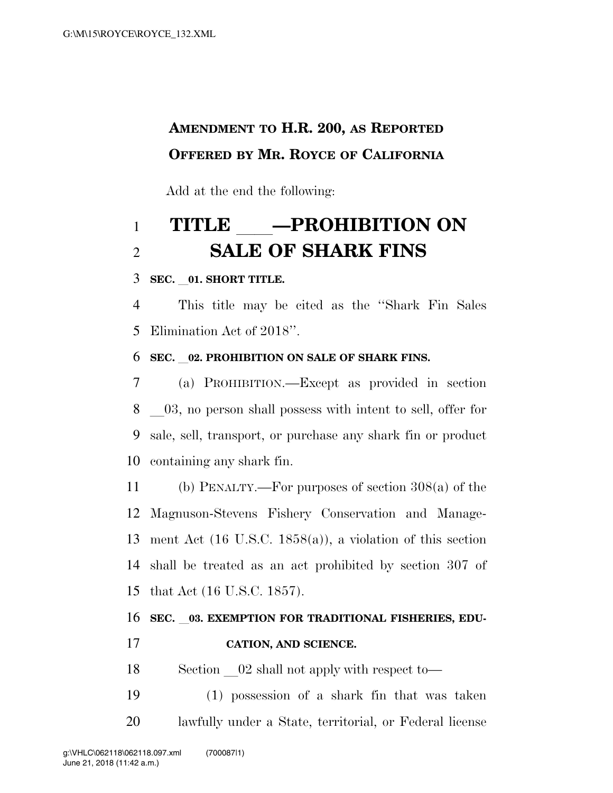## **AMENDMENT TO H.R. 200, AS REPORTED OFFERED BY MR. ROYCE OF CALIFORNIA**

Add at the end the following:

## **TITLE** ll**—PROHIBITION ON SALE OF SHARK FINS**

#### **SEC.** l**01. SHORT TITLE.**

 This title may be cited as the ''Shark Fin Sales Elimination Act of 2018''.

#### **SEC.** l**02. PROHIBITION ON SALE OF SHARK FINS.**

 (a) PROHIBITION.—Except as provided in section 8 all 03, no person shall possess with intent to sell, offer for sale, sell, transport, or purchase any shark fin or product containing any shark fin.

 (b) PENALTY.—For purposes of section 308(a) of the Magnuson-Stevens Fishery Conservation and Manage- ment Act (16 U.S.C. 1858(a)), a violation of this section shall be treated as an act prohibited by section 307 of that Act (16 U.S.C. 1857).

# **SEC.** l**03. EXEMPTION FOR TRADITIONAL FISHERIES, EDU-**

**CATION, AND SCIENCE.** 

18 Section 02 shall not apply with respect to—

 (1) possession of a shark fin that was taken lawfully under a State, territorial, or Federal license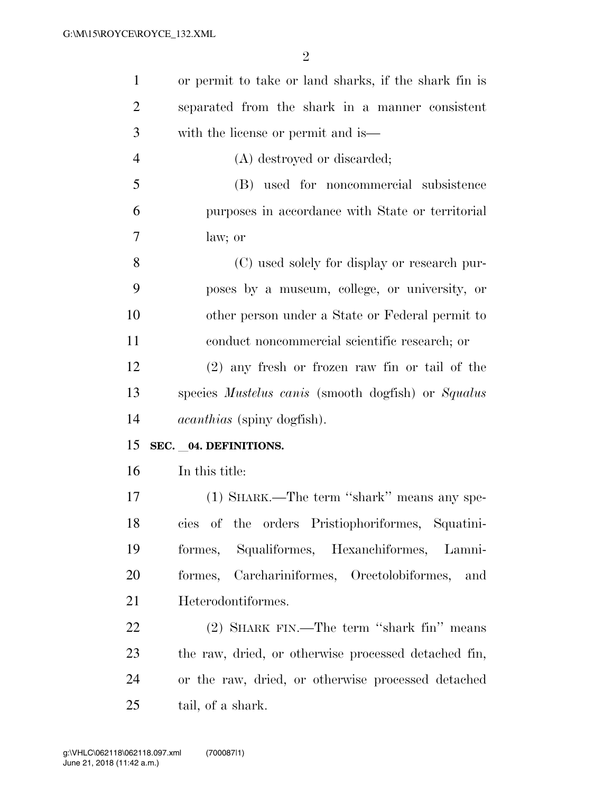| $\mathbf{1}$   | or permit to take or land sharks, if the shark fin is            |
|----------------|------------------------------------------------------------------|
| $\overline{2}$ | separated from the shark in a manner consistent                  |
| 3              | with the license or permit and is—                               |
| $\overline{4}$ | (A) destroyed or discarded;                                      |
| 5              | (B) used for noncommercial subsistence                           |
| 6              | purposes in accordance with State or territorial                 |
| 7              | law; or                                                          |
| 8              | (C) used solely for display or research pur-                     |
| 9              | poses by a museum, college, or university, or                    |
| 10             | other person under a State or Federal permit to                  |
| 11             | conduct noncommercial scientific research; or                    |
| 12             | $(2)$ any fresh or frozen raw fin or tail of the                 |
| 13             | species <i>Mustelus canis</i> (smooth dogfish) or <i>Squalus</i> |
| 14             | <i>acanthias</i> (spiny dogfish).                                |
| 15             | SEC. 04. DEFINITIONS.                                            |
| 16             | In this title:                                                   |
| 17             | (1) SHARK.—The term "shark" means any spe-                       |
| 18             | cies of the orders Pristiophoriformes, Squatini-                 |
| 19             | formes, Squaliformes, Hexanchiformes, Lamni-                     |
| 20             | formes, Carchariniformes, Orectolobiformes,<br>and               |
| 21             | Heterodontiformes.                                               |
| 22             | (2) SHARK FIN.—The term "shark fin" means                        |
| 23             | the raw, dried, or otherwise processed detached fin,             |
| 24             | or the raw, dried, or otherwise processed detached               |
| 25             |                                                                  |